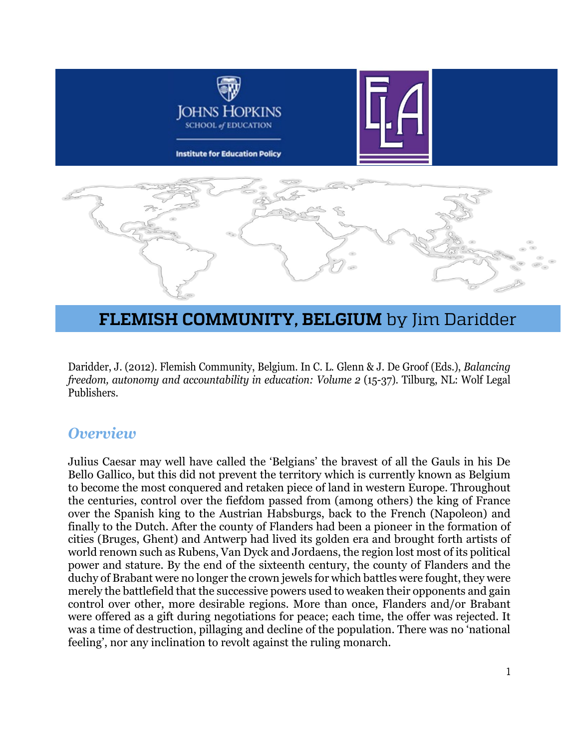

# **FLEMISH COMMUNITY, BELGIUM** by Jim Daridder

Daridder, J. (2012). Flemish Community, Belgium. In C. L. Glenn & J. De Groof (Eds.), *Balancing freedom, autonomy and accountability in education: Volume 2* (15-37). Tilburg, NL: Wolf Legal Publishers.

#### *Overview*

Julius Caesar may well have called the 'Belgians' the bravest of all the Gauls in his De Bello Gallico, but this did not prevent the territory which is currently known as Belgium to become the most conquered and retaken piece of land in western Europe. Throughout the centuries, control over the fiefdom passed from (among others) the king of France over the Spanish king to the Austrian Habsburgs, back to the French (Napoleon) and finally to the Dutch. After the county of Flanders had been a pioneer in the formation of cities (Bruges, Ghent) and Antwerp had lived its golden era and brought forth artists of world renown such as Rubens, Van Dyck and Jordaens, the region lost most of its political power and stature. By the end of the sixteenth century, the county of Flanders and the duchy of Brabant were no longer the crown jewels for which battles were fought, they were merely the battlefield that the successive powers used to weaken their opponents and gain control over other, more desirable regions. More than once, Flanders and/or Brabant were offered as a gift during negotiations for peace; each time, the offer was rejected. It was a time of destruction, pillaging and decline of the population. There was no 'national feeling', nor any inclination to revolt against the ruling monarch.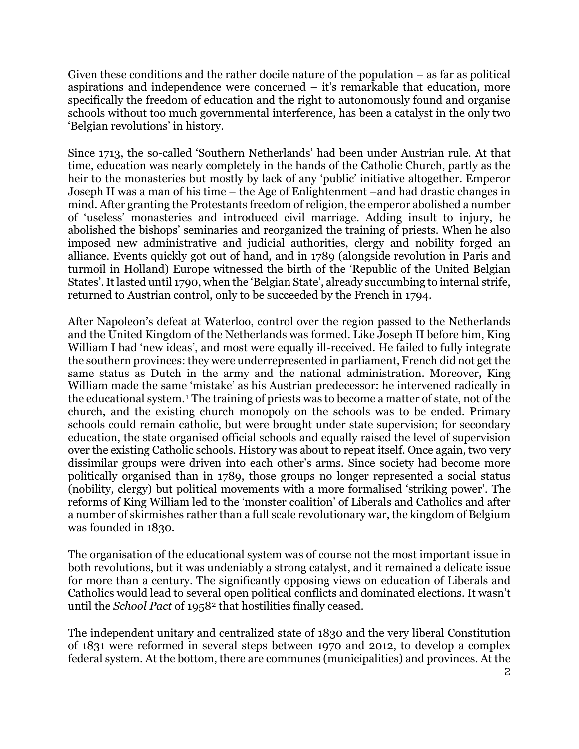Given these conditions and the rather docile nature of the population – as far as political aspirations and independence were concerned – it's remarkable that education, more specifically the freedom of education and the right to autonomously found and organise schools without too much governmental interference, has been a catalyst in the only two 'Belgian revolutions' in history.

Since 1713, the so-called 'Southern Netherlands' had been under Austrian rule. At that time, education was nearly completely in the hands of the Catholic Church, partly as the heir to the monasteries but mostly by lack of any 'public' initiative altogether. Emperor Joseph II was a man of his time – the Age of Enlightenment –and had drastic changes in mind. After granting the Protestants freedom of religion, the emperor abolished a number of 'useless' monasteries and introduced civil marriage. Adding insult to injury, he abolished the bishops' seminaries and reorganized the training of priests. When he also imposed new administrative and judicial authorities, clergy and nobility forged an alliance. Events quickly got out of hand, and in 1789 (alongside revolution in Paris and turmoil in Holland) Europe witnessed the birth of the 'Republic of the United Belgian States'. It lasted until 1790, when the 'Belgian State', already succumbing to internal strife, returned to Austrian control, only to be succeeded by the French in 1794.

After Napoleon's defeat at Waterloo, control over the region passed to the Netherlands and the United Kingdom of the Netherlands was formed. Like Joseph II before him, King William I had 'new ideas', and most were equally ill-received. He failed to fully integrate the southern provinces: they were underrepresented in parliament, French did not get the same status as Dutch in the army and the national administration. Moreover, King William made the same 'mistake' as his Austrian predecessor: he intervened radically in the educational system.<sup>[1](#page-19-0)</sup> The training of priests was to become a matter of state, not of the church, and the existing church monopoly on the schools was to be ended. Primary schools could remain catholic, but were brought under state supervision; for secondary education, the state organised official schools and equally raised the level of supervision over the existing Catholic schools. History was about to repeat itself. Once again, two very dissimilar groups were driven into each other's arms. Since society had become more politically organised than in 1789, those groups no longer represented a social status (nobility, clergy) but political movements with a more formalised 'striking power'. The reforms of King William led to the 'monster coalition' of Liberals and Catholics and after a number of skirmishes rather than a full scale revolutionary war, the kingdom of Belgium was founded in 1830.

The organisation of the educational system was of course not the most important issue in both revolutions, but it was undeniably a strong catalyst, and it remained a delicate issue for more than a century. The significantly opposing views on education of Liberals and Catholics would lead to several open political conflicts and dominated elections. It wasn't until the *School Pact* of 1958[2](#page-19-1) that hostilities finally ceased.

The independent unitary and centralized state of 1830 and the very liberal Constitution of 1831 were reformed in several steps between 1970 and 2012, to develop a complex federal system. At the bottom, there are communes (municipalities) and provinces. At the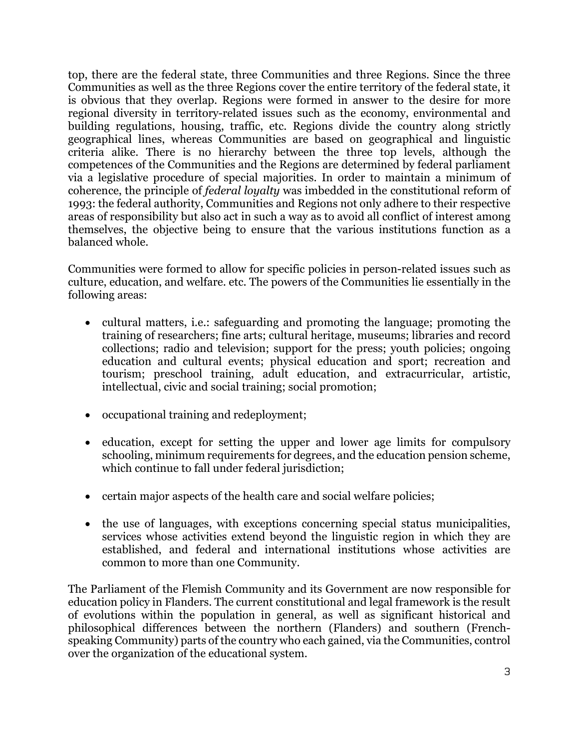top, there are the federal state, three Communities and three Regions. Since the three Communities as well as the three Regions cover the entire territory of the federal state, it is obvious that they overlap. Regions were formed in answer to the desire for more regional diversity in territory-related issues such as the economy, environmental and building regulations, housing, traffic, etc. Regions divide the country along strictly geographical lines, whereas Communities are based on geographical and linguistic criteria alike. There is no hierarchy between the three top levels, although the competences of the Communities and the Regions are determined by federal parliament via a legislative procedure of special majorities. In order to maintain a minimum of coherence, the principle of *federal loyalty* was imbedded in the constitutional reform of 1993: the federal authority, Communities and Regions not only adhere to their respective areas of responsibility but also act in such a way as to avoid all conflict of interest among themselves, the objective being to ensure that the various institutions function as a balanced whole.

Communities were formed to allow for specific policies in person-related issues such as culture, education, and welfare. etc. The powers of the Communities lie essentially in the following areas:

- cultural matters, i.e.: safeguarding and promoting the language; promoting the training of researchers; fine arts; cultural heritage, museums; libraries and record collections; radio and television; support for the press; youth policies; ongoing education and cultural events; physical education and sport; recreation and tourism; preschool training, adult education, and extracurricular, artistic, intellectual, civic and social training; social promotion;
- occupational training and redeployment;
- education, except for setting the upper and lower age limits for compulsory schooling, minimum requirements for degrees, and the education pension scheme, which continue to fall under federal jurisdiction;
- certain major aspects of the health care and social welfare policies;
- the use of languages, with exceptions concerning special status municipalities, services whose activities extend beyond the linguistic region in which they are established, and federal and international institutions whose activities are common to more than one Community.

The Parliament of the Flemish Community and its Government are now responsible for education policy in Flanders. The current constitutional and legal framework is the result of evolutions within the population in general, as well as significant historical and philosophical differences between the northern (Flanders) and southern (Frenchspeaking Community) parts of the country who each gained, via the Communities, control over the organization of the educational system.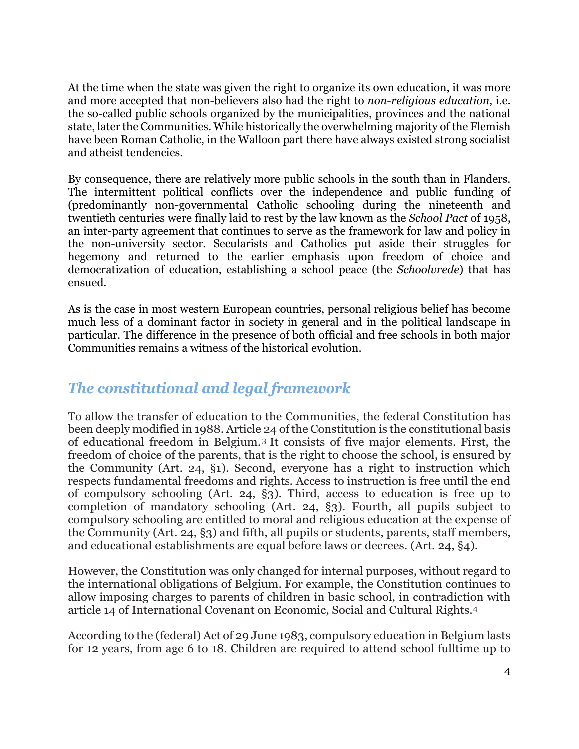At the time when the state was given the right to organize its own education, it was more and more accepted that non-believers also had the right to *non-religious education*, i.e. the so-called public schools organized by the municipalities, provinces and the national state, later the Communities. While historically the overwhelming majority of the Flemish have been Roman Catholic, in the Walloon part there have always existed strong socialist and atheist tendencies.

By consequence, there are relatively more public schools in the south than in Flanders. The intermittent political conflicts over the independence and public funding of (predominantly non-governmental Catholic schooling during the nineteenth and twentieth centuries were finally laid to rest by the law known as the *School Pact* of 1958, an inter-party agreement that continues to serve as the framework for law and policy in the non-university sector. Secularists and Catholics put aside their struggles for hegemony and returned to the earlier emphasis upon freedom of choice and democratization of education, establishing a school peace (the *Schoolvrede*) that has ensued.

As is the case in most western European countries, personal religious belief has become much less of a dominant factor in society in general and in the political landscape in particular. The difference in the presence of both official and free schools in both major Communities remains a witness of the historical evolution.

### *The constitutional and legal framework*

To allow the transfer of education to the Communities, the federal Constitution has been deeply modified in 1988. Article 24 of the Constitution is the constitutional basis of educational freedom in Belgium. [3](#page-19-2) It consists of five major elements. First, the freedom of choice of the parents, that is the right to choose the school, is ensured by the Community (Art. 24, §1). Second, everyone has a right to instruction which respects fundamental freedoms and rights. Access to instruction is free until the end of compulsory schooling (Art. 24, §3). Third, access to education is free up to completion of mandatory schooling (Art. 24, §3). Fourth, all pupils subject to compulsory schooling are entitled to moral and religious education at the expense of the Community (Art. 24, §3) and fifth, all pupils or students, parents, staff members, and educational establishments are equal before laws or decrees. (Art. 24, §4).

However, the Constitution was only changed for internal purposes, without regard to the international obligations of Belgium. For example, the Constitution continues to allow imposing charges to parents of children in basic school, in contradiction with article 14 of International Covenant on Economic, Social and Cultural Rights.[4](#page-19-3)

According to the (federal) Act of 29 June 1983, compulsory education in Belgium lasts for 12 years, from age 6 to 18. Children are required to attend school fulltime up to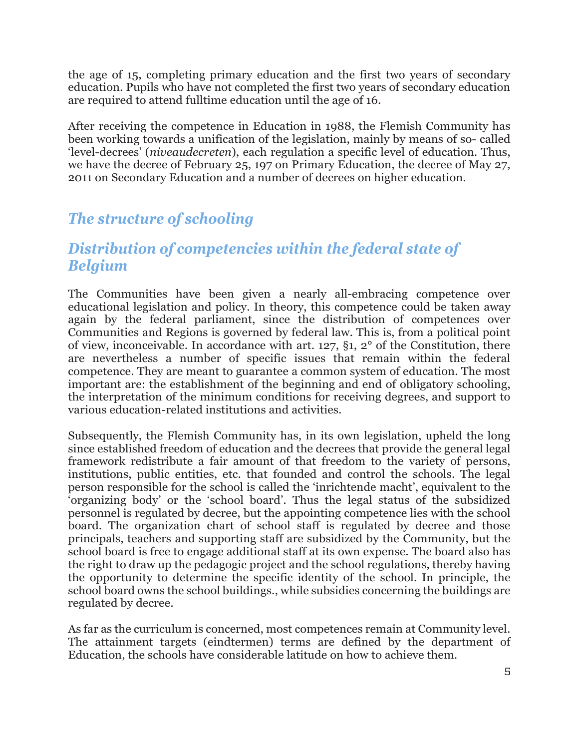the age of 15, completing primary education and the first two years of secondary education. Pupils who have not completed the first two years of secondary education are required to attend fulltime education until the age of 16.

After receiving the competence in Education in 1988, the Flemish Community has been working towards a unification of the legislation, mainly by means of so- called 'level-decrees' (*niveaudecreten*), each regulation a specific level of education. Thus, we have the decree of February 25, 197 on Primary Education, the decree of May 27, 2011 on Secondary Education and a number of decrees on higher education.

# *The structure of schooling*

### *Distribution of competencies within the federal state of Belgium*

The Communities have been given a nearly all-embracing competence over educational legislation and policy. In theory, this competence could be taken away again by the federal parliament, since the distribution of competences over Communities and Regions is governed by federal law. This is, from a political point of view, inconceivable. In accordance with art. 127, §1, 2° of the Constitution, there are nevertheless a number of specific issues that remain within the federal competence. They are meant to guarantee a common system of education. The most important are: the establishment of the beginning and end of obligatory schooling, the interpretation of the minimum conditions for receiving degrees, and support to various education-related institutions and activities.

Subsequently, the Flemish Community has, in its own legislation, upheld the long since established freedom of education and the decrees that provide the general legal framework redistribute a fair amount of that freedom to the variety of persons, institutions, public entities, etc. that founded and control the schools. The legal person responsible for the school is called the 'inrichtende macht', equivalent to the 'organizing body' or the 'school board'. Thus the legal status of the subsidized personnel is regulated by decree, but the appointing competence lies with the school board. The organization chart of school staff is regulated by decree and those principals, teachers and supporting staff are subsidized by the Community, but the school board is free to engage additional staff at its own expense. The board also has the right to draw up the pedagogic project and the school regulations, thereby having the opportunity to determine the specific identity of the school. In principle, the school board owns the school buildings., while subsidies concerning the buildings are regulated by decree.

As far as the curriculum is concerned, most competences remain at Community level. The attainment targets (eindtermen) terms are defined by the department of Education, the schools have considerable latitude on how to achieve them.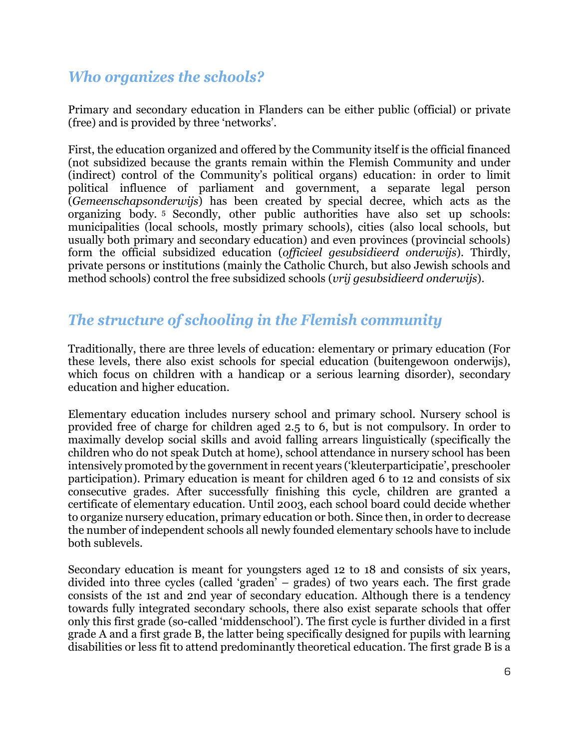## *Who organizes the schools?*

Primary and secondary education in Flanders can be either public (official) or private (free) and is provided by three 'networks'.

First, the education organized and offered by the Community itself is the official financed (not subsidized because the grants remain within the Flemish Community and under (indirect) control of the Community's political organs) education: in order to limit political influence of parliament and government, a separate legal person (*Gemeenschapsonderwijs*) has been created by special decree, which acts as the organizing body. [5](#page-19-4) Secondly, other public authorities have also set up schools: municipalities (local schools, mostly primary schools), cities (also local schools, but usually both primary and secondary education) and even provinces (provincial schools) form the official subsidized education (*officieel gesubsidieerd onderwijs*). Thirdly, private persons or institutions (mainly the Catholic Church, but also Jewish schools and method schools) control the free subsidized schools (*vrij gesubsidieerd onderwijs*).

## *The structure of schooling in the Flemish community*

Traditionally, there are three levels of education: elementary or primary education (For these levels, there also exist schools for special education (buitengewoon onderwijs), which focus on children with a handicap or a serious learning disorder), secondary education and higher education.

Elementary education includes nursery school and primary school. Nursery school is provided free of charge for children aged 2.5 to 6, but is not compulsory. In order to maximally develop social skills and avoid falling arrears linguistically (specifically the children who do not speak Dutch at home), school attendance in nursery school has been intensively promoted by the government in recent years ('kleuterparticipatie', preschooler participation). Primary education is meant for children aged 6 to 12 and consists of six consecutive grades. After successfully finishing this cycle, children are granted a certificate of elementary education. Until 2003, each school board could decide whether to organize nursery education, primary education or both. Since then, in order to decrease the number of independent schools all newly founded elementary schools have to include both sublevels.

Secondary education is meant for youngsters aged 12 to 18 and consists of six years, divided into three cycles (called 'graden' – grades) of two years each. The first grade consists of the 1st and 2nd year of secondary education. Although there is a tendency towards fully integrated secondary schools, there also exist separate schools that offer only this first grade (so-called 'middenschool'). The first cycle is further divided in a first grade A and a first grade B, the latter being specifically designed for pupils with learning disabilities or less fit to attend predominantly theoretical education. The first grade B is a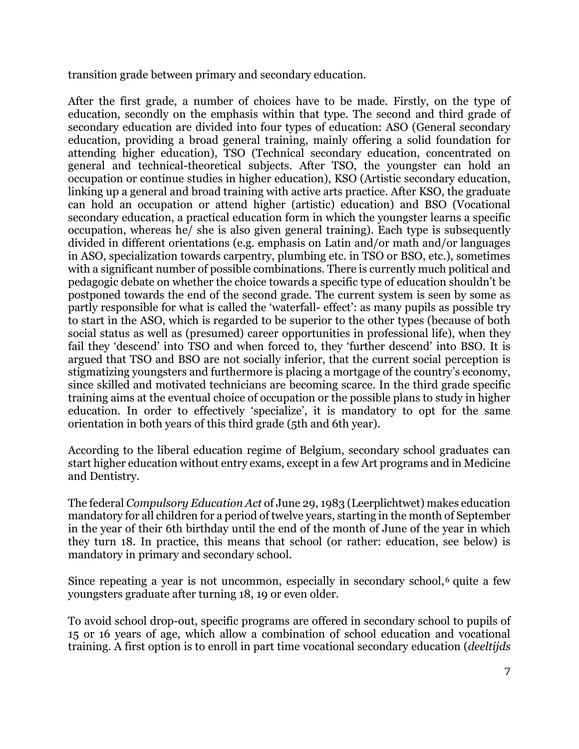transition grade between primary and secondary education.

After the first grade, a number of choices have to be made. Firstly, on the type of education, secondly on the emphasis within that type. The second and third grade of secondary education are divided into four types of education: ASO (General secondary education, providing a broad general training, mainly offering a solid foundation for attending higher education), TSO (Technical secondary education, concentrated on general and technical-theoretical subjects. After TSO, the youngster can hold an occupation or continue studies in higher education), KSO (Artistic secondary education, linking up a general and broad training with active arts practice. After KSO, the graduate can hold an occupation or attend higher (artistic) education) and BSO (Vocational secondary education, a practical education form in which the youngster learns a specific occupation, whereas he/ she is also given general training). Each type is subsequently divided in different orientations (e.g. emphasis on Latin and/or math and/or languages in ASO, specialization towards carpentry, plumbing etc. in TSO or BSO, etc.), sometimes with a significant number of possible combinations. There is currently much political and pedagogic debate on whether the choice towards a specific type of education shouldn't be postponed towards the end of the second grade. The current system is seen by some as partly responsible for what is called the 'waterfall- effect': as many pupils as possible try to start in the ASO, which is regarded to be superior to the other types (because of both social status as well as (presumed) career opportunities in professional life), when they fail they 'descend' into TSO and when forced to, they 'further descend' into BSO. It is argued that TSO and BSO are not socially inferior, that the current social perception is stigmatizing youngsters and furthermore is placing a mortgage of the country's economy, since skilled and motivated technicians are becoming scarce. In the third grade specific training aims at the eventual choice of occupation or the possible plans to study in higher education. In order to effectively 'specialize', it is mandatory to opt for the same orientation in both years of this third grade (5th and 6th year).

According to the liberal education regime of Belgium, secondary school graduates can start higher education without entry exams, except in a few Art programs and in Medicine and Dentistry.

The federal *Compulsory Education Act* of June 29, 1983 (Leerplichtwet) makes education mandatory for all children for a period of twelve years, starting in the month of September in the year of their 6th birthday until the end of the month of June of the year in which they turn 18. In practice, this means that school (or rather: education, see below) is mandatory in primary and secondary school.

Since repeating a year is not uncommon, especially in secondary school, $6$  quite a few youngsters graduate after turning 18, 19 or even older.

To avoid school drop-out, specific programs are offered in secondary school to pupils of 15 or 16 years of age, which allow a combination of school education and vocational training. A first option is to enroll in part time vocational secondary education (*deeltijds*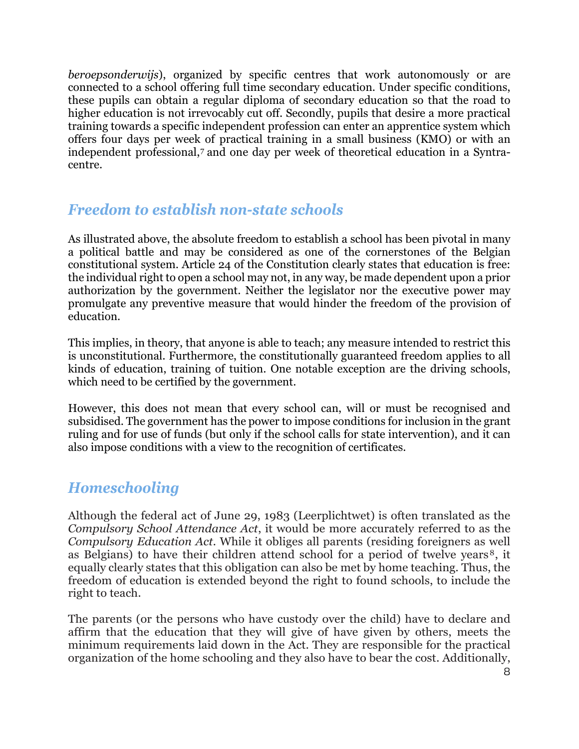*beroepsonderwijs*), organized by specific centres that work autonomously or are connected to a school offering full time secondary education. Under specific conditions, these pupils can obtain a regular diploma of secondary education so that the road to higher education is not irrevocably cut off. Secondly, pupils that desire a more practical training towards a specific independent profession can enter an apprentice system which offers four days per week of practical training in a small business (KMO) or with an independent professional,[7](#page-19-6) and one day per week of theoretical education in a Syntracentre.

#### *Freedom to establish non-state schools*

As illustrated above, the absolute freedom to establish a school has been pivotal in many a political battle and may be considered as one of the cornerstones of the Belgian constitutional system. Article 24 of the Constitution clearly states that education is free: the individual right to open a school may not, in any way, be made dependent upon a prior authorization by the government. Neither the legislator nor the executive power may promulgate any preventive measure that would hinder the freedom of the provision of education.

This implies, in theory, that anyone is able to teach; any measure intended to restrict this is unconstitutional. Furthermore, the constitutionally guaranteed freedom applies to all kinds of education, training of tuition. One notable exception are the driving schools, which need to be certified by the government.

However, this does not mean that every school can, will or must be recognised and subsidised. The government has the power to impose conditions for inclusion in the grant ruling and for use of funds (but only if the school calls for state intervention), and it can also impose conditions with a view to the recognition of certificates.

#### *Homeschooling*

Although the federal act of June 29, 1983 (Leerplichtwet) is often translated as the *Compulsory School Attendance Act*, it would be more accurately referred to as the *Compulsory Education Act*. While it obliges all parents (residing foreigners as well as Belgians) to have their children attend school for a period of twelve years<sup>[8](#page-19-7)</sup>, it equally clearly states that this obligation can also be met by home teaching. Thus, the freedom of education is extended beyond the right to found schools, to include the right to teach.

The parents (or the persons who have custody over the child) have to declare and affirm that the education that they will give of have given by others, meets the minimum requirements laid down in the Act. They are responsible for the practical organization of the home schooling and they also have to bear the cost. Additionally,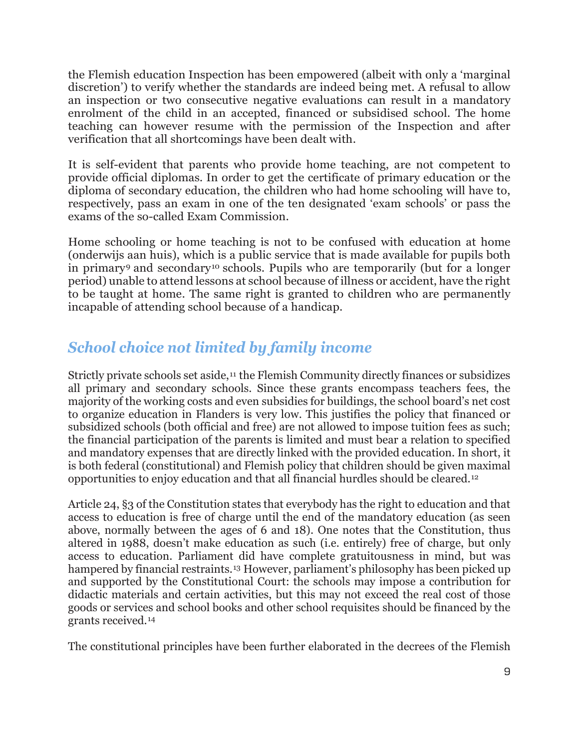the Flemish education Inspection has been empowered (albeit with only a 'marginal discretion') to verify whether the standards are indeed being met. A refusal to allow an inspection or two consecutive negative evaluations can result in a mandatory enrolment of the child in an accepted, financed or subsidised school. The home teaching can however resume with the permission of the Inspection and after verification that all shortcomings have been dealt with.

It is self-evident that parents who provide home teaching, are not competent to provide official diplomas. In order to get the certificate of primary education or the diploma of secondary education, the children who had home schooling will have to, respectively, pass an exam in one of the ten designated 'exam schools' or pass the exams of the so-called Exam Commission.

Home schooling or home teaching is not to be confused with education at home (onderwijs aan huis), which is a public service that is made available for pupils both in primary<sup>[9](#page-19-8)</sup> and secondary<sup>[10](#page-19-9)</sup> schools. Pupils who are temporarily (but for a longer period) unable to attend lessons at school because of illness or accident, have the right to be taught at home. The same right is granted to children who are permanently incapable of attending school because of a handicap.

# *School choice not limited by family income*

Strictly private schools set aside,<sup>[11](#page-19-10)</sup> the Flemish Community directly finances or subsidizes all primary and secondary schools. Since these grants encompass teachers fees, the majority of the working costs and even subsidies for buildings, the school board's net cost to organize education in Flanders is very low. This justifies the policy that financed or subsidized schools (both official and free) are not allowed to impose tuition fees as such; the financial participation of the parents is limited and must bear a relation to specified and mandatory expenses that are directly linked with the provided education. In short, it is both federal (constitutional) and Flemish policy that children should be given maximal opportunities to enjoy education and that all financial hurdles should be cleared.[12](#page-20-0)

Article 24, §3 of the Constitution states that everybody has the right to education and that access to education is free of charge until the end of the mandatory education (as seen above, normally between the ages of 6 and 18). One notes that the Constitution, thus altered in 1988, doesn't make education as such (i.e. entirely) free of charge, but only access to education. Parliament did have complete gratuitousness in mind, but was hampered by financial restraints.<sup>[13](#page-20-1)</sup> However, parliament's philosophy has been picked up and supported by the Constitutional Court: the schools may impose a contribution for didactic materials and certain activities, but this may not exceed the real cost of those goods or services and school books and other school requisites should be financed by the grants received.[14](#page-20-2)

The constitutional principles have been further elaborated in the decrees of the Flemish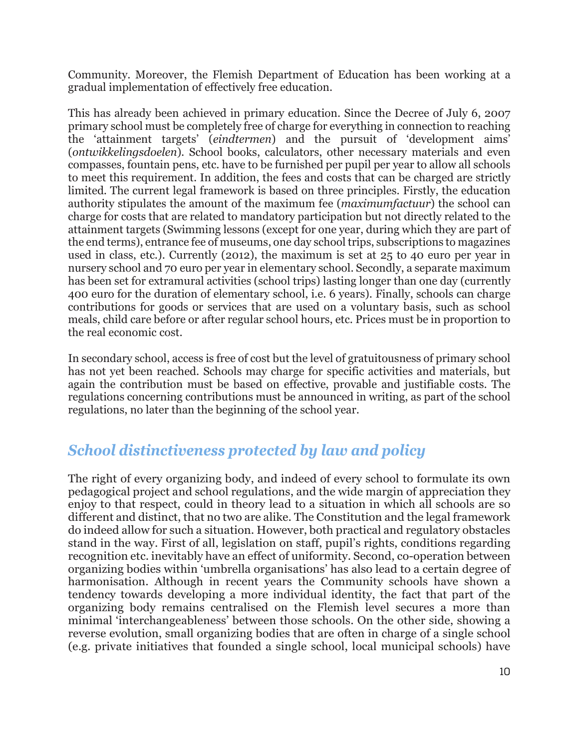Community. Moreover, the Flemish Department of Education has been working at a gradual implementation of effectively free education.

This has already been achieved in primary education. Since the Decree of July 6, 2007 primary school must be completely free of charge for everything in connection to reaching the 'attainment targets' (*eindtermen*) and the pursuit of 'development aims' (*ontwikkelingsdoelen*). School books, calculators, other necessary materials and even compasses, fountain pens, etc. have to be furnished per pupil per year to allow all schools to meet this requirement. In addition, the fees and costs that can be charged are strictly limited. The current legal framework is based on three principles. Firstly, the education authority stipulates the amount of the maximum fee (*maximumfactuur*) the school can charge for costs that are related to mandatory participation but not directly related to the attainment targets (Swimming lessons (except for one year, during which they are part of the end terms), entrance fee of museums, one day school trips, subscriptions to magazines used in class, etc.). Currently (2012), the maximum is set at 25 to 40 euro per year in nursery school and 70 euro per year in elementary school. Secondly, a separate maximum has been set for extramural activities (school trips) lasting longer than one day (currently 400 euro for the duration of elementary school, i.e. 6 years). Finally, schools can charge contributions for goods or services that are used on a voluntary basis, such as school meals, child care before or after regular school hours, etc. Prices must be in proportion to the real economic cost.

In secondary school, access is free of cost but the level of gratuitousness of primary school has not yet been reached. Schools may charge for specific activities and materials, but again the contribution must be based on effective, provable and justifiable costs. The regulations concerning contributions must be announced in writing, as part of the school regulations, no later than the beginning of the school year.

#### *School distinctiveness protected by law and policy*

The right of every organizing body, and indeed of every school to formulate its own pedagogical project and school regulations, and the wide margin of appreciation they enjoy to that respect, could in theory lead to a situation in which all schools are so different and distinct, that no two are alike. The Constitution and the legal framework do indeed allow for such a situation. However, both practical and regulatory obstacles stand in the way. First of all, legislation on staff, pupil's rights, conditions regarding recognition etc. inevitably have an effect of uniformity. Second, co-operation between organizing bodies within 'umbrella organisations' has also lead to a certain degree of harmonisation. Although in recent years the Community schools have shown a tendency towards developing a more individual identity, the fact that part of the organizing body remains centralised on the Flemish level secures a more than minimal 'interchangeableness' between those schools. On the other side, showing a reverse evolution, small organizing bodies that are often in charge of a single school (e.g. private initiatives that founded a single school, local municipal schools) have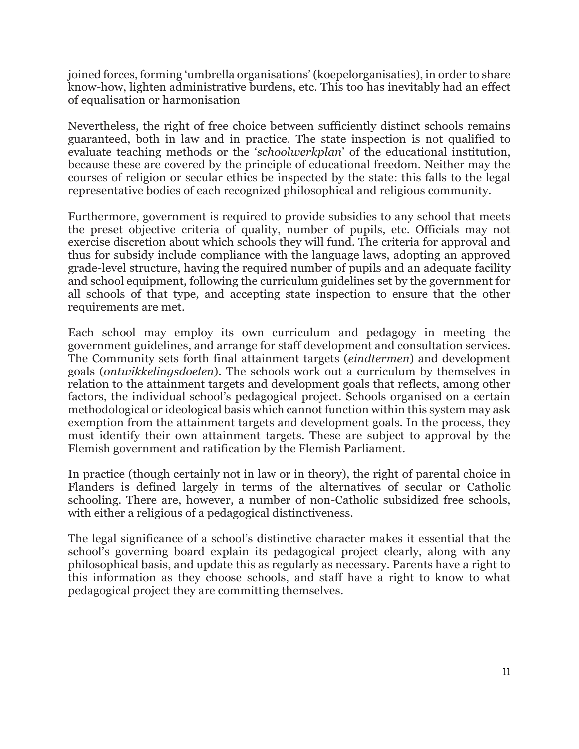joined forces, forming 'umbrella organisations' (koepelorganisaties), in order to share know-how, lighten administrative burdens, etc. This too has inevitably had an effect of equalisation or harmonisation

Nevertheless, the right of free choice between sufficiently distinct schools remains guaranteed, both in law and in practice. The state inspection is not qualified to evaluate teaching methods or the '*schoolwerkplan*' of the educational institution, because these are covered by the principle of educational freedom. Neither may the courses of religion or secular ethics be inspected by the state: this falls to the legal representative bodies of each recognized philosophical and religious community.

Furthermore, government is required to provide subsidies to any school that meets the preset objective criteria of quality, number of pupils, etc. Officials may not exercise discretion about which schools they will fund. The criteria for approval and thus for subsidy include compliance with the language laws, adopting an approved grade-level structure, having the required number of pupils and an adequate facility and school equipment, following the curriculum guidelines set by the government for all schools of that type, and accepting state inspection to ensure that the other requirements are met.

Each school may employ its own curriculum and pedagogy in meeting the government guidelines, and arrange for staff development and consultation services. The Community sets forth final attainment targets (*eindtermen*) and development goals (*ontwikkelingsdoelen*). The schools work out a curriculum by themselves in relation to the attainment targets and development goals that reflects, among other factors, the individual school's pedagogical project. Schools organised on a certain methodological or ideological basis which cannot function within this system may ask exemption from the attainment targets and development goals. In the process, they must identify their own attainment targets. These are subject to approval by the Flemish government and ratification by the Flemish Parliament.

In practice (though certainly not in law or in theory), the right of parental choice in Flanders is defined largely in terms of the alternatives of secular or Catholic schooling. There are, however, a number of non-Catholic subsidized free schools, with either a religious of a pedagogical distinctiveness.

The legal significance of a school's distinctive character makes it essential that the school's governing board explain its pedagogical project clearly, along with any philosophical basis, and update this as regularly as necessary. Parents have a right to this information as they choose schools, and staff have a right to know to what pedagogical project they are committing themselves.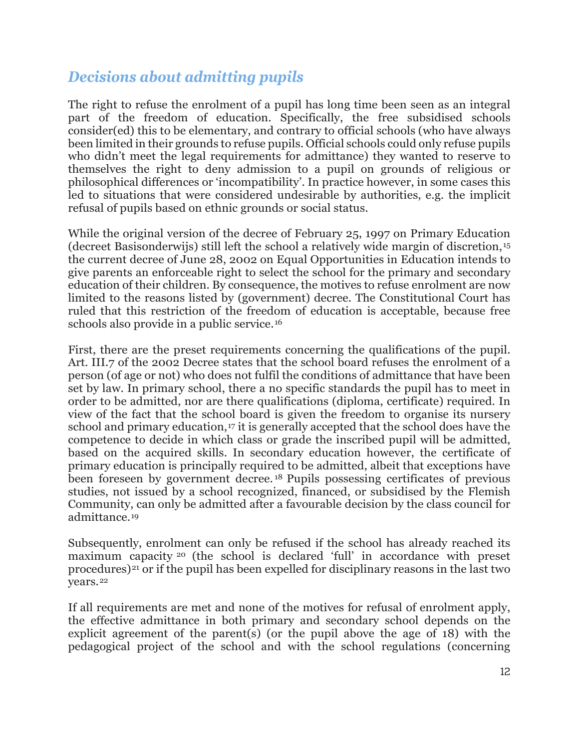## *Decisions about admitting pupils*

The right to refuse the enrolment of a pupil has long time been seen as an integral part of the freedom of education. Specifically, the free subsidised schools consider(ed) this to be elementary, and contrary to official schools (who have always been limited in their grounds to refuse pupils. Official schools could only refuse pupils who didn't meet the legal requirements for admittance) they wanted to reserve to themselves the right to deny admission to a pupil on grounds of religious or philosophical differences or 'incompatibility'. In practice however, in some cases this led to situations that were considered undesirable by authorities, e.g. the implicit refusal of pupils based on ethnic grounds or social status.

While the original version of the decree of February 25, 1997 on Primary Education (decreet Basisonderwijs) still left the school a relatively wide margin of discretion,[15](#page-20-3) the current decree of June 28, 2002 on Equal Opportunities in Education intends to give parents an enforceable right to select the school for the primary and secondary education of their children. By consequence, the motives to refuse enrolment are now limited to the reasons listed by (government) decree. The Constitutional Court has ruled that this restriction of the freedom of education is acceptable, because free schools also provide in a public service.[16](#page-20-4)

First, there are the preset requirements concerning the qualifications of the pupil. Art. III.7 of the 2002 Decree states that the school board refuses the enrolment of a person (of age or not) who does not fulfil the conditions of admittance that have been set by law. In primary school, there a no specific standards the pupil has to meet in order to be admitted, nor are there qualifications (diploma, certificate) required. In view of the fact that the school board is given the freedom to organise its nursery school and primary education,<sup>[17](#page-20-5)</sup> it is generally accepted that the school does have the competence to decide in which class or grade the inscribed pupil will be admitted, based on the acquired skills. In secondary education however, the certificate of primary education is principally required to be admitted, albeit that exceptions have been foreseen by government decree. [18](#page-20-6) Pupils possessing certificates of previous studies, not issued by a school recognized, financed, or subsidised by the Flemish Community, can only be admitted after a favourable decision by the class council for admittance.[19](#page-20-7)

Subsequently, enrolment can only be refused if the school has already reached its maximum capacity [20](#page-20-8) (the school is declared 'full' in accordance with preset procedures)[21](#page-20-9) or if the pupil has been expelled for disciplinary reasons in the last two years.[22](#page-20-10)

If all requirements are met and none of the motives for refusal of enrolment apply, the effective admittance in both primary and secondary school depends on the explicit agreement of the parent(s) (or the pupil above the age of 18) with the pedagogical project of the school and with the school regulations (concerning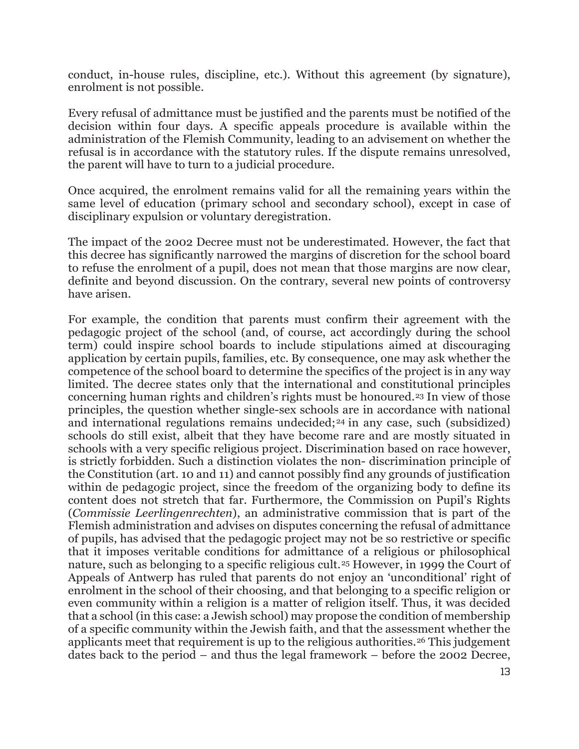conduct, in-house rules, discipline, etc.). Without this agreement (by signature), enrolment is not possible.

Every refusal of admittance must be justified and the parents must be notified of the decision within four days. A specific appeals procedure is available within the administration of the Flemish Community, leading to an advisement on whether the refusal is in accordance with the statutory rules. If the dispute remains unresolved, the parent will have to turn to a judicial procedure.

Once acquired, the enrolment remains valid for all the remaining years within the same level of education (primary school and secondary school), except in case of disciplinary expulsion or voluntary deregistration.

The impact of the 2002 Decree must not be underestimated. However, the fact that this decree has significantly narrowed the margins of discretion for the school board to refuse the enrolment of a pupil, does not mean that those margins are now clear, definite and beyond discussion. On the contrary, several new points of controversy have arisen.

For example, the condition that parents must confirm their agreement with the pedagogic project of the school (and, of course, act accordingly during the school term) could inspire school boards to include stipulations aimed at discouraging application by certain pupils, families, etc. By consequence, one may ask whether the competence of the school board to determine the specifics of the project is in any way limited. The decree states only that the international and constitutional principles concerning human rights and children's rights must be honoured.[23](#page-20-11) In view of those principles, the question whether single-sex schools are in accordance with national and international regulations remains undecided;<sup>[24](#page-20-12)</sup> in any case, such (subsidized) schools do still exist, albeit that they have become rare and are mostly situated in schools with a very specific religious project. Discrimination based on race however, is strictly forbidden. Such a distinction violates the non- discrimination principle of the Constitution (art. 10 and 11) and cannot possibly find any grounds of justification within de pedagogic project, since the freedom of the organizing body to define its content does not stretch that far. Furthermore, the Commission on Pupil's Rights (*Commissie Leerlingenrechten*), an administrative commission that is part of the Flemish administration and advises on disputes concerning the refusal of admittance of pupils, has advised that the pedagogic project may not be so restrictive or specific that it imposes veritable conditions for admittance of a religious or philosophical nature, such as belonging to a specific religious cult.<sup>[25](#page-20-13)</sup> However, in 1999 the Court of Appeals of Antwerp has ruled that parents do not enjoy an 'unconditional' right of enrolment in the school of their choosing, and that belonging to a specific religion or even community within a religion is a matter of religion itself. Thus, it was decided that a school (in this case: a Jewish school) may propose the condition of membership of a specific community within the Jewish faith, and that the assessment whether the applicants meet that requirement is up to the religious authorities.[26](#page-21-0) This judgement dates back to the period – and thus the legal framework – before the 2002 Decree,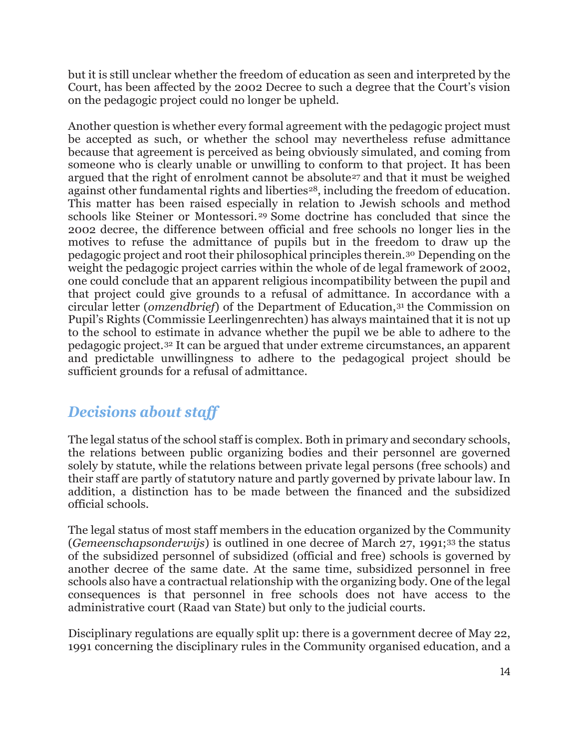but it is still unclear whether the freedom of education as seen and interpreted by the Court, has been affected by the 2002 Decree to such a degree that the Court's vision on the pedagogic project could no longer be upheld.

Another question is whether every formal agreement with the pedagogic project must be accepted as such, or whether the school may nevertheless refuse admittance because that agreement is perceived as being obviously simulated, and coming from someone who is clearly unable or unwilling to conform to that project. It has been argued that the right of enrolment cannot be absolute<sup>[27](#page-21-1)</sup> and that it must be weighed against other fundamental rights and liberties<sup>[28](#page-21-2)</sup>, including the freedom of education. This matter has been raised especially in relation to Jewish schools and method schools like Steiner or Montessori. [29](#page-21-3) Some doctrine has concluded that since the 2002 decree, the difference between official and free schools no longer lies in the motives to refuse the admittance of pupils but in the freedom to draw up the pedagogic project and root their philosophical principles therein.[30](#page-21-4) Depending on the weight the pedagogic project carries within the whole of de legal framework of 2002, one could conclude that an apparent religious incompatibility between the pupil and that project could give grounds to a refusal of admittance. In accordance with a circular letter (*omzendbrief*) of the Department of Education,[31](#page-21-5) the Commission on Pupil's Rights (Commissie Leerlingenrechten) has always maintained that it is not up to the school to estimate in advance whether the pupil we be able to adhere to the pedagogic project.[32](#page-21-6) It can be argued that under extreme circumstances, an apparent and predictable unwillingness to adhere to the pedagogical project should be sufficient grounds for a refusal of admittance.

# *Decisions about staff*

The legal status of the school staff is complex. Both in primary and secondary schools, the relations between public organizing bodies and their personnel are governed solely by statute, while the relations between private legal persons (free schools) and their staff are partly of statutory nature and partly governed by private labour law. In addition, a distinction has to be made between the financed and the subsidized official schools.

The legal status of most staff members in the education organized by the Community (*Gemeenschapsonderwijs*) is outlined in one decree of March 27, 1991;[33](#page-21-7) the status of the subsidized personnel of subsidized (official and free) schools is governed by another decree of the same date. At the same time, subsidized personnel in free schools also have a contractual relationship with the organizing body. One of the legal consequences is that personnel in free schools does not have access to the administrative court (Raad van State) but only to the judicial courts.

Disciplinary regulations are equally split up: there is a government decree of May 22, 1991 concerning the disciplinary rules in the Community organised education, and a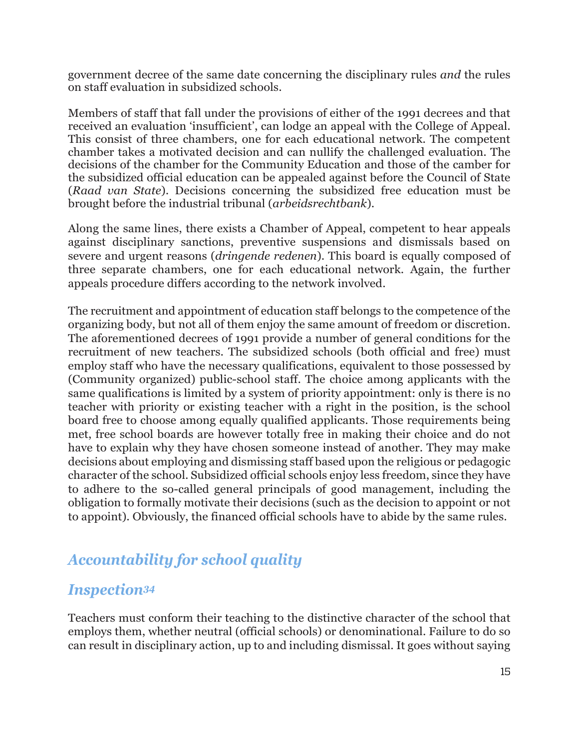government decree of the same date concerning the disciplinary rules *and* the rules on staff evaluation in subsidized schools.

Members of staff that fall under the provisions of either of the 1991 decrees and that received an evaluation 'insufficient', can lodge an appeal with the College of Appeal. This consist of three chambers, one for each educational network. The competent chamber takes a motivated decision and can nullify the challenged evaluation. The decisions of the chamber for the Community Education and those of the camber for the subsidized official education can be appealed against before the Council of State (*Raad van State*). Decisions concerning the subsidized free education must be brought before the industrial tribunal (*arbeidsrechtbank*).

Along the same lines, there exists a Chamber of Appeal, competent to hear appeals against disciplinary sanctions, preventive suspensions and dismissals based on severe and urgent reasons (*dringende redenen*). This board is equally composed of three separate chambers, one for each educational network. Again, the further appeals procedure differs according to the network involved.

The recruitment and appointment of education staff belongs to the competence of the organizing body, but not all of them enjoy the same amount of freedom or discretion. The aforementioned decrees of 1991 provide a number of general conditions for the recruitment of new teachers. The subsidized schools (both official and free) must employ staff who have the necessary qualifications, equivalent to those possessed by (Community organized) public-school staff. The choice among applicants with the same qualifications is limited by a system of priority appointment: only is there is no teacher with priority or existing teacher with a right in the position, is the school board free to choose among equally qualified applicants. Those requirements being met, free school boards are however totally free in making their choice and do not have to explain why they have chosen someone instead of another. They may make decisions about employing and dismissing staff based upon the religious or pedagogic character of the school. Subsidized official schools enjoy less freedom, since they have to adhere to the so-called general principals of good management, including the obligation to formally motivate their decisions (such as the decision to appoint or not to appoint). Obviously, the financed official schools have to abide by the same rules.

# *Accountability for school quality*

### *Inspection[34](#page-21-8)*

Teachers must conform their teaching to the distinctive character of the school that employs them, whether neutral (official schools) or denominational. Failure to do so can result in disciplinary action, up to and including dismissal. It goes without saying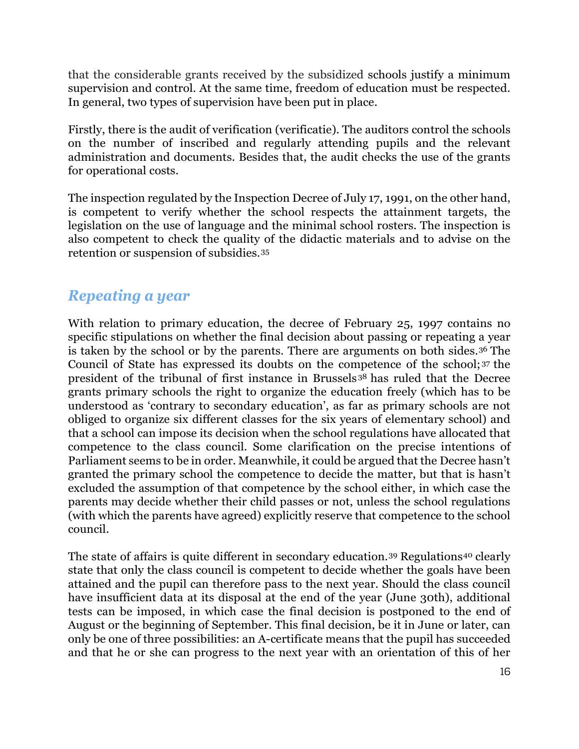that the considerable grants received by the subsidized schools justify a minimum supervision and control. At the same time, freedom of education must be respected. In general, two types of supervision have been put in place.

Firstly, there is the audit of verification (verificatie). The auditors control the schools on the number of inscribed and regularly attending pupils and the relevant administration and documents. Besides that, the audit checks the use of the grants for operational costs.

The inspection regulated by the Inspection Decree of July 17, 1991, on the other hand, is competent to verify whether the school respects the attainment targets, the legislation on the use of language and the minimal school rosters. The inspection is also competent to check the quality of the didactic materials and to advise on the retention or suspension of subsidies.[35](#page-21-9)

### *Repeating a year*

With relation to primary education, the decree of February 25, 1997 contains no specific stipulations on whether the final decision about passing or repeating a year is taken by the school or by the parents. There are arguments on both sides.[36](#page-21-10) The Council of State has expressed its doubts on the competence of the school; [37](#page-21-11) the president of the tribunal of first instance in Brussels [38](#page-21-12) has ruled that the Decree grants primary schools the right to organize the education freely (which has to be understood as 'contrary to secondary education', as far as primary schools are not obliged to organize six different classes for the six years of elementary school) and that a school can impose its decision when the school regulations have allocated that competence to the class council. Some clarification on the precise intentions of Parliament seems to be in order. Meanwhile, it could be argued that the Decree hasn't granted the primary school the competence to decide the matter, but that is hasn't excluded the assumption of that competence by the school either, in which case the parents may decide whether their child passes or not, unless the school regulations (with which the parents have agreed) explicitly reserve that competence to the school council.

The state of affairs is quite different in secondary education.<sup>[39](#page-21-13)</sup> Regulations<sup>[40](#page-21-14)</sup> clearly state that only the class council is competent to decide whether the goals have been attained and the pupil can therefore pass to the next year. Should the class council have insufficient data at its disposal at the end of the year (June 30th), additional tests can be imposed, in which case the final decision is postponed to the end of August or the beginning of September. This final decision, be it in June or later, can only be one of three possibilities: an A-certificate means that the pupil has succeeded and that he or she can progress to the next year with an orientation of this of her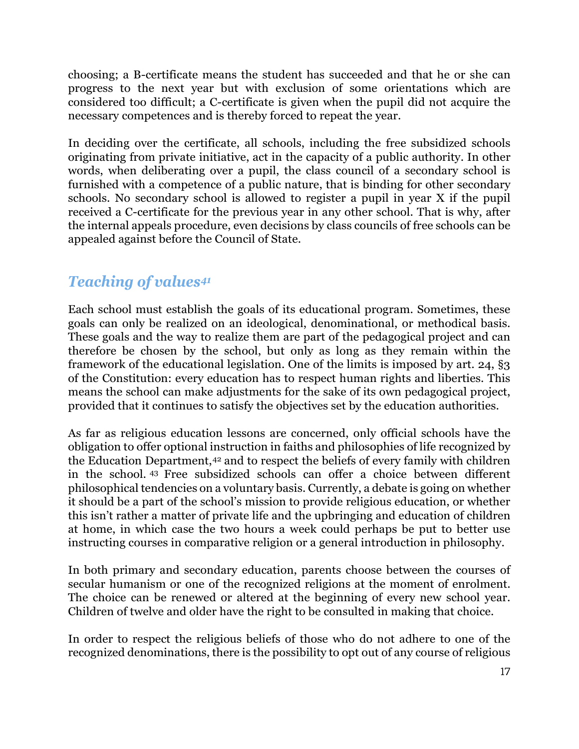choosing; a B-certificate means the student has succeeded and that he or she can progress to the next year but with exclusion of some orientations which are considered too difficult; a C-certificate is given when the pupil did not acquire the necessary competences and is thereby forced to repeat the year.

In deciding over the certificate, all schools, including the free subsidized schools originating from private initiative, act in the capacity of a public authority. In other words, when deliberating over a pupil, the class council of a secondary school is furnished with a competence of a public nature, that is binding for other secondary schools. No secondary school is allowed to register a pupil in year X if the pupil received a C-certificate for the previous year in any other school. That is why, after the internal appeals procedure, even decisions by class councils of free schools can be appealed against before the Council of State.

# *Teaching of values[41](#page-21-2)*

Each school must establish the goals of its educational program. Sometimes, these goals can only be realized on an ideological, denominational, or methodical basis. These goals and the way to realize them are part of the pedagogical project and can therefore be chosen by the school, but only as long as they remain within the framework of the educational legislation. One of the limits is imposed by art. 24, §3 of the Constitution: every education has to respect human rights and liberties. This means the school can make adjustments for the sake of its own pedagogical project, provided that it continues to satisfy the objectives set by the education authorities.

As far as religious education lessons are concerned, only official schools have the obligation to offer optional instruction in faiths and philosophies of life recognized by the Education Department,[42](#page-21-15) and to respect the beliefs of every family with children in the school. [43](#page-21-16) Free subsidized schools can offer a choice between different philosophical tendencies on a voluntary basis. Currently, a debate is going on whether it should be a part of the school's mission to provide religious education, or whether this isn't rather a matter of private life and the upbringing and education of children at home, in which case the two hours a week could perhaps be put to better use instructing courses in comparative religion or a general introduction in philosophy.

In both primary and secondary education, parents choose between the courses of secular humanism or one of the recognized religions at the moment of enrolment. The choice can be renewed or altered at the beginning of every new school year. Children of twelve and older have the right to be consulted in making that choice.

In order to respect the religious beliefs of those who do not adhere to one of the recognized denominations, there is the possibility to opt out of any course of religious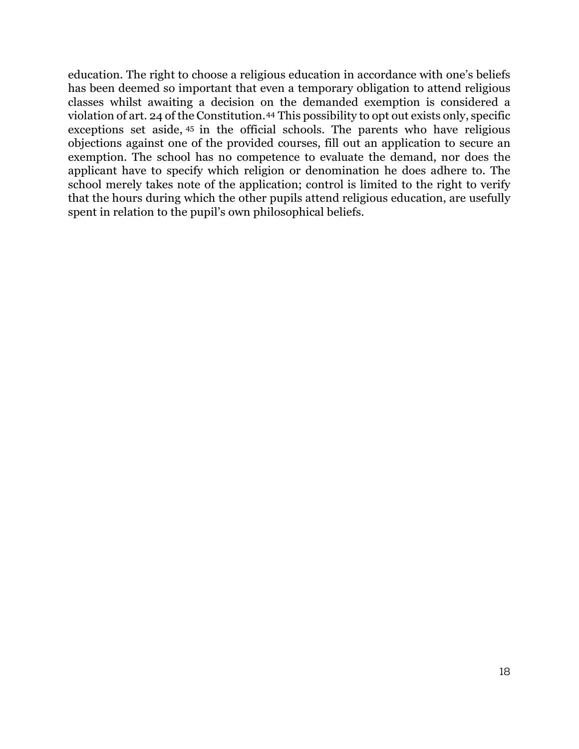education. The right to choose a religious education in accordance with one's beliefs has been deemed so important that even a temporary obligation to attend religious classes whilst awaiting a decision on the demanded exemption is considered a violation of art. 24 of the Constitution.[44](#page-21-17) This possibility to opt out exists only, specific exceptions set aside, [45](#page-21-18) in the official schools. The parents who have religious objections against one of the provided courses, fill out an application to secure an exemption. The school has no competence to evaluate the demand, nor does the applicant have to specify which religion or denomination he does adhere to. The school merely takes note of the application; control is limited to the right to verify that the hours during which the other pupils attend religious education, are usefully spent in relation to the pupil's own philosophical beliefs.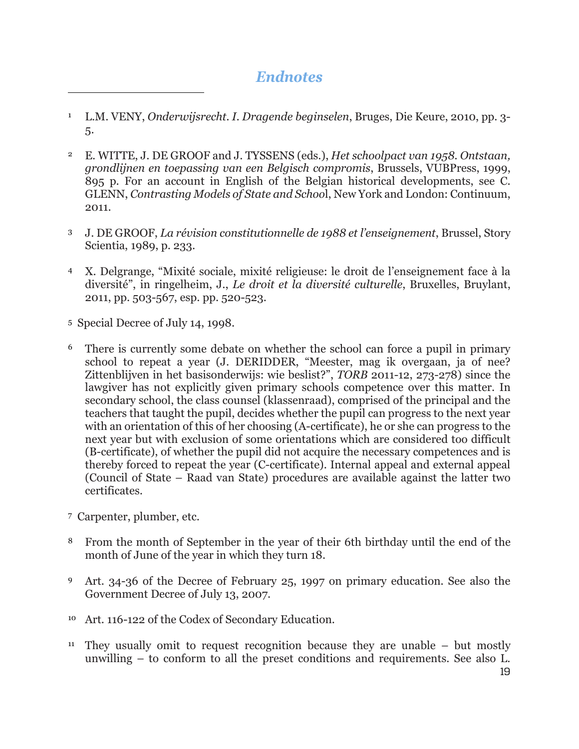### *Endnotes*

- <sup>1</sup> L.M. VENY, *Onderwijsrecht. I. Dragende beginselen*, Bruges, Die Keure, 2010, pp. 3- 5.
- <sup>2</sup> E. WITTE, J. DE GROOF and J. TYSSENS (eds.), *Het schoolpact van 1958. Ontstaan, grondlijnen en toepassing van een Belgisch compromis*, Brussels, VUBPress, 1999, 895 p. For an account in English of the Belgian historical developments, see C. GLENN, *Contrasting Models of State and Schoo*l, New York and London: Continuum, 2011.
- <sup>3</sup> J. DE GROOF, *La révision constitutionnelle de 1988 et l'enseignement*, Brussel, Story Scientia, 1989, p. 233.
- <sup>4</sup> X. Delgrange, "Mixité sociale, mixité religieuse: le droit de l'enseignement face à la diversité", in ringelheim, J., *Le droit et la diversité culturelle*, Bruxelles, Bruylant, 2011, pp. 503-567, esp. pp. 520-523.
- 5 Special Decree of July 14, 1998.

- <sup>6</sup> There is currently some debate on whether the school can force a pupil in primary school to repeat a year (J. DERIDDER, "Meester, mag ik overgaan, ja of nee? Zittenblijven in het basisonderwijs: wie beslist?", *TORB* 2011-12, 273-278) since the lawgiver has not explicitly given primary schools competence over this matter. In secondary school, the class counsel (klassenraad), comprised of the principal and the teachers that taught the pupil, decides whether the pupil can progress to the next year with an orientation of this of her choosing (A-certificate), he or she can progress to the next year but with exclusion of some orientations which are considered too difficult (B-certificate), of whether the pupil did not acquire the necessary competences and is thereby forced to repeat the year (C-certificate). Internal appeal and external appeal (Council of State – Raad van State) procedures are available against the latter two certificates.
- 7 Carpenter, plumber, etc.
- <sup>8</sup> From the month of September in the year of their 6th birthday until the end of the month of June of the year in which they turn 18.
- <sup>9</sup> Art. 34-36 of the Decree of February 25, 1997 on primary education. See also the Government Decree of July 13, 2007.
- <sup>10</sup> Art. 116-122 of the Codex of Secondary Education.
- <sup>11</sup> They usually omit to request recognition because they are unable  $-$  but mostly unwilling – to conform to all the preset conditions and requirements. See also L.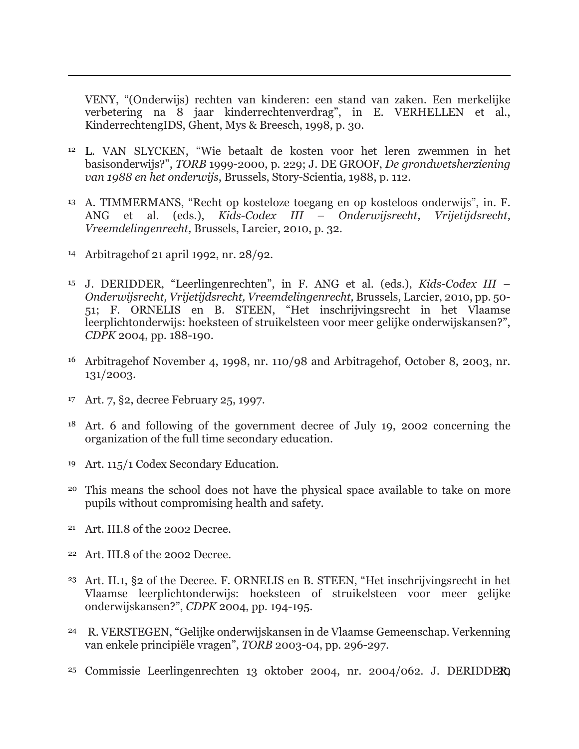VENY, "(Onderwijs) rechten van kinderen: een stand van zaken. Een merkelijke verbetering na 8 jaar kinderrechtenverdrag", in E. VERHELLEN et al., KinderrechtengIDS, Ghent, Mys & Breesch, 1998, p. 30.

- <span id="page-19-1"></span><span id="page-19-0"></span><sup>12</sup> L. VAN SLYCKEN, "Wie betaalt de kosten voor het leren zwemmen in het basisonderwijs?", *TORB* 1999-2000, p. 229; J. DE GROOF, *De grondwetsherziening van 1988 en het onderwijs*, Brussels, Story-Scientia, 1988, p. 112.
- <sup>13</sup> A. TIMMERMANS, "Recht op kosteloze toegang en op kosteloos onderwijs", in. F. ANG et al. (eds.), *Kids-Codex III – Onderwijsrecht, Vrijetijdsrecht, Vreemdelingenrecht,* Brussels, Larcier, 2010, p. 32.
- <span id="page-19-2"></span><sup>14</sup> Arbitragehof 21 april 1992, nr. 28/92.

- <span id="page-19-4"></span><span id="page-19-3"></span><sup>15</sup> J. DERIDDER, "Leerlingenrechten", in F. ANG et al. (eds.), *Kids-Codex III – Onderwijsrecht, Vrijetijdsrecht, Vreemdelingenrecht,* Brussels, Larcier, 2010, pp. 50- 51; F. ORNELIS en B. STEEN, "Het inschrijvingsrecht in het Vlaamse leerplichtonderwijs: hoeksteen of struikelsteen voor meer gelijke onderwijskansen?", *CDPK* 2004, pp. 188-190.
- <span id="page-19-5"></span><sup>16</sup> Arbitragehof November 4, 1998, nr. 110/98 and Arbitragehof, October 8, 2003, nr. 131/2003.
- <sup>17</sup> Art. 7, §2, decree February 25, 1997.
- <sup>18</sup> Art. 6 and following of the government decree of July 19, 2002 concerning the organization of the full time secondary education.
- <sup>19</sup> Art. 115/1 Codex Secondary Education.
- <sup>20</sup> This means the school does not have the physical space available to take on more pupils without compromising health and safety.
- <span id="page-19-6"></span><sup>21</sup> Art. III.8 of the 2002 Decree.
- <span id="page-19-7"></span><sup>22</sup> Art. III.8 of the 2002 Decree.
- <span id="page-19-8"></span><sup>23</sup> Art. II.1, §2 of the Decree. F. ORNELIS en B. STEEN, "Het inschrijvingsrecht in het Vlaamse leerplichtonderwijs: hoeksteen of struikelsteen voor meer gelijke onderwijskansen?", *CDPK* 2004, pp. 194-195.
- <span id="page-19-10"></span><span id="page-19-9"></span><sup>24</sup> R. VERSTEGEN, "Gelijke onderwijskansen in de Vlaamse Gemeenschap. Verkenning van enkele principiële vragen", *TORB* 2003-04, pp. 296-297.
- <sup>25</sup> Commissie Leerlingenrechten 13 oktober 2004, nr. 2004/062. J. DERIDDE**R**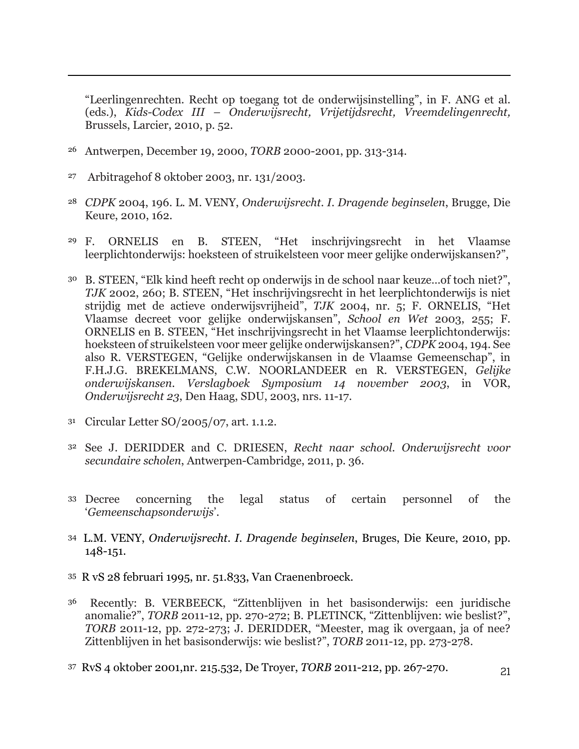"Leerlingenrechten. Recht op toegang tot de onderwijsinstelling", in F. ANG et al. (eds.), *Kids-Codex III – Onderwijsrecht, Vrijetijdsrecht, Vreemdelingenrecht,*  Brussels, Larcier, 2010, p. 52.

- <span id="page-20-0"></span><sup>26</sup> Antwerpen, December 19, 2000, *TORB* 2000-2001, pp. 313-314.
- <sup>27</sup> Arbitragehof 8 oktober 2003, nr. 131/2003.

- <span id="page-20-1"></span><sup>28</sup> *CDPK* 2004, 196. L. M. VENY, *Onderwijsrecht. I. Dragende beginselen*, Brugge, Die Keure, 2010, 162.
- <span id="page-20-2"></span><sup>29</sup> F. ORNELIS en B. STEEN, "Het inschrijvingsrecht in het Vlaamse leerplichtonderwijs: hoeksteen of struikelsteen voor meer gelijke onderwijskansen?",
- <span id="page-20-3"></span><sup>30</sup> B. STEEN, "Elk kind heeft recht op onderwijs in de school naar keuze…of toch niet?", *TJK* 2002, 260; B. STEEN, "Het inschrijvingsrecht in het leerplichtonderwijs is niet strijdig met de actieve onderwijsvrijheid", *TJK* 2004, nr. 5; F. ORNELIS, "Het Vlaamse decreet voor gelijke onderwijskansen", *School en Wet* 2003, 255; F. ORNELIS en B. STEEN, "Het inschrijvingsrecht in het Vlaamse leerplichtonderwijs: hoeksteen of struikelsteen voor meer gelijke onderwijskansen?", *CDPK* 2004, 194. See also R. VERSTEGEN, "Gelijke onderwijskansen in de Vlaamse Gemeenschap", in F.H.J.G. BREKELMANS, C.W. NOORLANDEER en R. VERSTEGEN, *Gelijke onderwijskansen. Verslagboek Symposium 14 november 2003*, in VOR, *Onderwijsrecht 23*, Den Haag, SDU, 2003, nrs. 11-17.
- <span id="page-20-6"></span><span id="page-20-5"></span><span id="page-20-4"></span><sup>31</sup> Circular Letter SO/2005/07, art. 1.1.2.
- <span id="page-20-7"></span><sup>32</sup> See J. DERIDDER and C. DRIESEN, *Recht naar school. Onderwijsrecht voor secundaire scholen*, Antwerpen-Cambridge, 2011, p. 36.
- <span id="page-20-8"></span><sup>33</sup> Decree concerning the legal status of certain personnel of the '*Gemeenschapsonderwijs*'.
- <span id="page-20-10"></span><span id="page-20-9"></span><sup>34</sup> L.M. VENY, *Onderwijsrecht. I. Dragende beginselen*, Bruges, Die Keure, 2010, pp. 148-151.
- <span id="page-20-11"></span>35 R vS 28 februari 1995, nr. 51.833, Van Craenenbroeck.
- <span id="page-20-12"></span>36 Recently: B. VERBEECK, "Zittenblijven in het basisonderwijs: een juridische anomalie?", *TORB* 2011-12, pp. 270-272; B. PLETINCK, "Zittenblijven: wie beslist?", *TORB* 2011-12, pp. 272-273; J. DERIDDER, "Meester, mag ik overgaan, ja of nee? Zittenblijven in het basisonderwijs: wie beslist?", *TORB* 2011-12, pp. 273-278.
- <span id="page-20-13"></span>37 RvS 4 oktober 2001,nr. 215.532, De Troyer, *TORB* 2011-212, pp. 267-270.